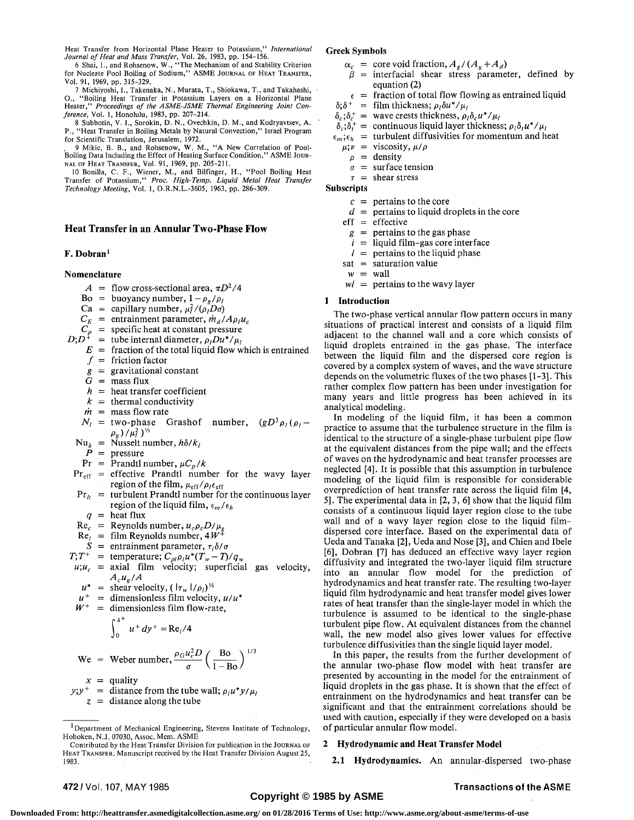Heat Transfer from Horizontal Plane Heater to Potassium," *International* 

*Journal of Heat and Mass Transfer,* Vol. 26, 1983, pp. 154-156. 6 Shai, I., and Rohsenow, W., "The Mechanism of and Stability Criterion for Nucleate Pool Boiling of Sodium," ASME JOURNAL OF HEAT TRANSFER, Vol. 91, 1969, pp. 315-329.

7 Michiyoshi, I., Takenaka, N., Murata, T., Shiokawa, T., and Takahashi, O., "Boiling Heat Transfer in Potassium Layers on a Horizontal Plane Heater," *Proceedings of the ASME-JSME Thermal Engineering Joint Conference,* Vol. 1, Honolulu, 1983, pp. 207-214.

8 Subbotin, V. I., Sorokin, D. N., Ovechkin, D. M., and Kudryavtsev, A. P., "Heat Transfer in Boiling Metals by Natural Convection," Israel Program for Scientific Translation, Jerusalem, 1972.

9 Mikic, B. B., and Rohsenow, W. M., "A New Correlation of Pool-Boiling Data Including the Effect of Heating Surface Condition," ASME JOUR-NAL OF HEAT TRANSFER, Vol. 91, 1969, pp. 205-211.

10 Bonilla, C. F., Wiener, M., and Bilfinger, H., "Pool Boiling Heat Transfer of Potassium," *Proc. High-Temp. Liquid Metal Heat Transfer Technology Meeting,* Vol. 1, O.R.N.L.-3605, 1963, pp. 286-309.

# **Heat Transfer in an Annular Two-Phase Flow**

# **F. Dobran** <sup>I</sup>

# **Nomenclature**

- $A = \text{flow cross-sectional area, } \pi D^2/4$
- $Bo = buoyancy number, 1 \rho_g/\rho_l$
- $Ca = capillary number, \mu_l^2/(\rho_l D \sigma)$
- $=$  entrainment parameter,  $\dot{m}_d / A \rho_l u_c$
- $\frac{C_E}{C}$ specific heat at constant pressure
- $C_p = D$ <br>*D*;*D*<sup>+</sup> = tube internal diameter,  $\rho_{l}Du^{*}/\mu_{l}$ 
	- $E =$  fraction of the total liquid flow which is entrained
		- $f =$  friction factor
		- *g*  = gravitational constant
		- $G = \text{mass flux}$
		- *h*  = heat transfer coefficient
		- $k =$  thermal conductivity
		- $\dot{m}$  = mass flow rate
	- $N_l$  = two-phase Grashof number,  $(gD^3)$  $(gD^3\rho/\rho/\rho)$
	- $Nu_{\delta}$  = Nusselt number,  $h\delta/k_{\delta}$

 $P =$  pressure

- $Pr$  = Prandtl number,  $\mu C_p/k$
- Pr<sub>eff</sub> = effective Prandtl number for the wavy layer region of the film,  $\mu_{\rm eff}/\rho_{\ell} \epsilon_{\rm eff}$
- $Pr_{lt}$  = turbulent Prandtl number for the continuous layer region of the liquid film,  $\epsilon_m/\epsilon_h$ 
	- $q = \text{heat flux}$
- $\mathrm{Re}_c$ = Reynolds number,  $u_c\rho_cD/\mu_g$
- Re, = film Reynolds number, *4W<sup>+</sup>*
- $S =$  entrainment parameter,  $\tau_i \delta / \sigma$
- $T; T^+$  = temperature;  $C_{pl} \rho_l u^* (T_w T)/q_w$

$$
u; u_c = \text{axial film velocity; superficial gas velocity,}
$$
  

$$
A_c u_g / A
$$

$$
u^* = \text{shear velocity}, (\vert \tau_w \vert / \rho_l)^{\frac{1}{2}}
$$

- *u +*  = dimensionless film velocity, *u/u\**
- *W +*  = dimensionless film flow-rate,

$$
\int_0^{\delta^+} u^+ dy^+ = \text{Re}_l/4
$$

We = Weber number, 
$$
\frac{\rho_G u_c^2 D}{\sigma} \left( \frac{\text{Bo}}{1 - \text{Bo}} \right)^{1/3}
$$

 $x =$  quality

 $y$ ; $y$ <sup>+</sup> = distance from the tube wall;  $\rho_l u^* y / \mu_l$ 

*z =* distance along the tube

### **Greek Symbols**

- $\alpha_c$  = core void fraction,  $A_g / (A_g + A_d)$
- $\beta$  = interfacial shear stress parameter, defined by equation (2)
	- $\epsilon$  = fraction of total flow flowing as entrained liquid
- $\delta$ ; $\delta^+$  = film thickness;  $\rho_l \delta u^* / \mu_l$
- $\delta_c$ ; $\delta_c^+$  = wave crests thickness,  $\rho_l \delta_c u^* / \mu_l$
- $\delta_i$ ; $\delta_i^+$  = continuous liquid layer thickness;  $\rho_i \delta_i u^* / \mu_i$
- $\epsilon_m$ ; $\epsilon_h$  = turbulent diffusivities for momentum and heat
- $\mu; \nu = \nu$ iscosity,  $\mu/\rho$
- $\rho$  = density
- $\sigma$  = surface tension
- *T =*  shear stress

# **Subscripts**

- $c =$  pertains to the core
- *d =*  pertains to liquid droplets in the core

eff **=**  effective

- *g =*  pertains to the gas phase
- *i =*  liquid film-gas core interface
- *I =*  pertains to the liquid phase
- sat = saturation value
- $w =$  wall

*wl* = pertains to the wavy layer

## **1 Introduction**

The two-phase vertical annular flow pattern occurs in many situations of practical interest and consists of a liquid film adjacent to the channel wall and a core which consists of liquid droplets entrained in the gas phase. The interface between the liquid film and the dispersed core region is covered by a complex system of waves, and the wave structure depends on the volumetric fluxes of the two phases [1-3]. This rather complex flow pattern has been under investigation for many years and little progress has been achieved in its analytical modeling.

In modeling of the liquid film, it has been a common practice to assume that the turbulence structure in the film is identical to the structure of a single-phase turbulent pipe flow at the equivalent distances from the pipe wall; and the effects of waves on the hydrodynamic and heat transfer processes are neglected [4]. It is possible that this assumption in turbulence modeling of the liquid film is responsible for considerable overprediction of heat transfer rate across the liquid film [4, 5]. The experimental data in [2, 3, 6] show that the liquid film consists of a continuous liquid layer region close to the tube wall and of a wavy layer region close to the liquid filmdispersed core interface. Based on the experimental data of Ueda and Tanaka [2], Ueda and Nose [3], and Chien and Ibele [6], Dobran [7] has deduced an effective wavy layer region diffusivity and integrated the two-layer liquid film structure into an annular flow model for the prediction of hydrodynamics and heat transfer rate. The resulting two-layer liquid film hydrodynamic and heat transfer model gives lower rates of heat transfer than the single-layer model in which the turbulence is assumed to be identical to the single-phase turbulent pipe flow. At equivalent distances from the channel wall, the new model also gives lower values for effective turbulence diffusivities than the single liquid layer model.

In this paper, the results from the further development of the annular two-phase flow model with heat transfer are presented by accounting in the model for the entrainment of liquid droplets in the gas phase. It is shown that the effect of entrainment on the hydrodynamics and heat transfer can be significant and that the entrainment correlations should be used with caution, especially if they were developed on a basis of particular annular flow model.

# 2 **Hydrodynamic and Heat Transfer Model**

**2.1 Hydrodynamics.** An annular-dispersed two-phase

Department of Mechanical Engineering, Stevens Institute of Technology, Hoboken, N.J. 07030, Assoc. Mem. ASME

Contributed by the Heat Transfer Division for publication in the JOURNAL OF HEAT TRANSFER. Manuscript received by the Heat Transfer Division August 25, 1983.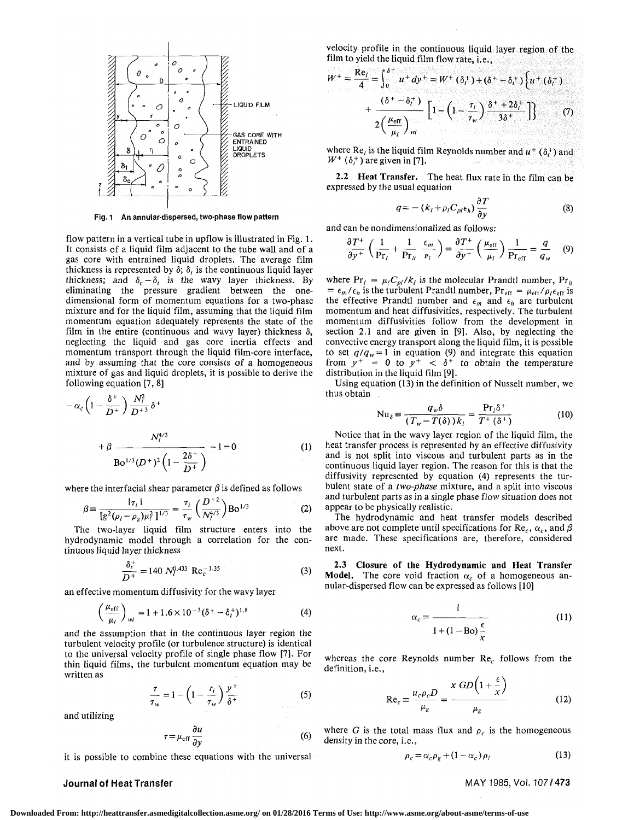

Fig. 1 An annular-dispersed, two-phase flow pattern

flow pattern in a vertical tube in upflow is illustrated in Fig. 1. It consists of a liquid film adjacent to the tube wall and of a gas core with entrained liquid droplets. The average film thickness is represented by  $\delta$ ;  $\delta$ , is the continuous liquid layer thickness; and  $\delta_c - \delta_t$  is the wavy layer thickness. By eliminating the pressure gradient between the onedimensional form of momentum equations for a two-phase mixture and for the liquid film, assuming that the liquid film momentum equation adequately represents the state of the film in the entire (continuous and wavy layer) thickness  $\delta$ , neglecting the liquid and gas core inertia effects and momentum transport through the liquid film-core interface, and by assuming that the core consists of a homogeneous mixture of gas and liquid droplets, it is possible to derive the following equation [7, 8]

$$
-\alpha_c \left(1 - \frac{\delta^+}{D^+}\right) \frac{N_l^2}{D^{+3}} \delta^+ + \beta \frac{N_l^{4/3}}{B \sigma^{1/3} (D^+)^2 \left(1 - \frac{2\delta^+}{D^+}\right)} - 1 = 0
$$
 (1)

where the interfacial shear parameter  $\beta$  is defined as follows

$$
\beta = \frac{|\tau_i|}{[g^2(\rho_l - \rho_g)\mu_l^2]^{1/3}} = \frac{\tau_i}{\tau_w} \left(\frac{D^{+2}}{N_l^{4/3}}\right) \text{Bo}^{1/3}
$$
 (2)

The two-layer liquid film structure enters into the hydrodynamic model through a correlation for the continuous liquid layer thickness

$$
\frac{\delta_t^+}{D^+} = 140 N_t^{0.433} \text{ Re}_c^{-1.35} \tag{3}
$$

an effective momentum diffusivity for the wavy layer

$$
\left(\frac{\mu_{\rm eff}}{\mu_l}\right)_{\nu l} = 1 + 1.6 \times 10^{-3} (\delta^+ - \delta_t^+)^{1.8} \tag{4}
$$

and the assumption that in the continuous layer region the turbulent velocity profile (or turbulence structure) is identical to the universal velocity profile of single phase flow [7]. For thin liquid films, the turbulent momentum equation may be written as

$$
\frac{\tau}{\tau_w} = 1 - \left(1 - \frac{r_i}{\tau_w}\right) \frac{y^+}{\delta^+}
$$
 (5)

and utilizing

$$
r = \mu_{\rm eff} \frac{\partial u}{\partial y} \tag{6}
$$

it is possible to combine these equations with the universal

velocity profile in the continuous liquid layer region of the film to yield the liquid film flow rate, i.e.,

$$
W^{+} = \frac{\text{Re}_l}{4} = \int_0^{\delta^+} u^+ dy^+ = W^+ (\delta_l^+) + (\delta^+ - \delta_l^+) \Bigg\{ u^+ (\delta_l^+) + \frac{(\delta^+ - \delta_l^+)}{2 \Big( \frac{\mu_{\text{eff}}}{\mu_l} \Bigg)_{\text{wl}}} \Bigg[ 1 - \Big( 1 - \frac{\tau_l}{\tau_w} \Big) \frac{\delta^+ + 2 \delta_l^+}{3 \delta^+} \Bigg] \Bigg\} \qquad (7)
$$

where Re<sub>l</sub> is the liquid film Reynolds number and  $u^+(\delta_t^+)$  and  $W^+$  ( $\delta_t^+$ ) are given in [7].

2.2 **Heat Transfer.** The heat flux rate in the film can be expressed by the usual equation

$$
q = -\left(k_l + \rho_l C_{pl} \epsilon_h\right) \frac{\partial T}{\partial y} \tag{8}
$$

and can be nondimensionalized as follows:

$$
\frac{\partial T^+}{\partial y^+} \left( \frac{1}{\Pr_l} + \frac{1}{\Pr_{lt}} \frac{\epsilon_m}{\nu_l} \right) = \frac{\partial T^+}{\partial y^+} \left( \frac{\mu_{\rm eff}}{\mu_l} \right) \frac{1}{\Pr_{\rm eff}} = \frac{q}{q_w} \quad (9)
$$

where  $Pr_l = \mu_l C_{pl}/k_l$  is the molecular Prandtl number,  $Pr_{ll}$  $= \epsilon_m / \epsilon_h$  is the turbulent Prandtl number,  $Pr_{eff} = \mu_{eff} / \rho_l \epsilon_{eff}$  is the effective Prandtl number and  $\epsilon_m$  and  $\epsilon_h$  are turbulent momentum and heat diffusivities, respectively. The turbulent momentum diffusivities follow from the development in section 2.1 and are given in [9], Also, by neglecting the convective energy transport along the liquid film, it is possible to set  $q/q_w = 1$  in equation (9) and integrate this equation from  $y^+ = 0$  to  $y^+ < \delta^+$  to obtain the temperature distribution in the liquid film [9].

Using equation (13) in the definition of Nusselt number, we thus obtain

$$
Nu_{\delta} \equiv \frac{q_w \delta}{(T_w - T(\delta))k_l} = \frac{Pr_l \delta^+}{T^+(\delta^+)}
$$
 (10)

Notice that in the wavy layer region of the liquid film, the heat transfer process is represented by an effective diffusivity and is not split into viscous and turbulent parts as in the continuous liquid layer region. The reason for this is that the diffusivity represented by equation (4) represents the turbulent state of a *two-phase* mixture, and a split into viscous and turbulent parts as in a single phase flow situation does not appear to be physically realistic.

The hydrodynamic and heat transfer models described above are not complete until specifications for  $\text{Re}_c$ ,  $\alpha_c$ , and  $\beta$ are made. These specifications are, therefore, considered next.

**2.3 Closure of the Hydrodynamic and Heat Transfer Model.** The core void fraction  $\alpha_c$  of a homogeneous annular-dispersed flow can be expressed as follows [10]

$$
\alpha_c = \frac{1}{1 + (1 - \text{Bo})\frac{\epsilon}{\tau}}
$$
(11)

whereas the core Reynolds number  $Re<sub>c</sub>$  follows from the definition, i.e.,

$$
\text{Re}_c \equiv \frac{u_c \rho_c D}{\mu_g} = \frac{x \; GD\left(1 + \frac{\epsilon}{x}\right)}{\mu_g} \tag{12}
$$

where *G* is the total mass flux and  $\rho_c$  is the homogeneous density in the core, i.e.,

$$
\rho_c = \alpha_c \rho_g + (1 - \alpha_c) \rho_l \tag{13}
$$

Journal of Heat Transfer MAY 1985, Vol. 107/473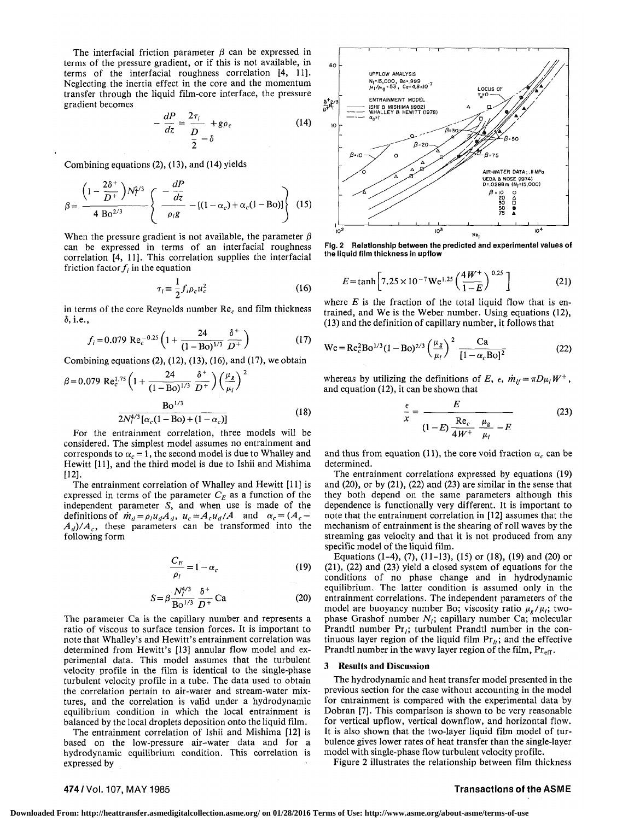The interfacial friction parameter  $\beta$  can be expressed in terms of the pressure gradient, or if this is not available, in terms of the interfacial roughness correlation [4, 11]. Neglecting the inertia effect in the core and the momentum transfer through the liquid film-core interface, the pressure gradient becomes

$$
-\frac{dP}{dz} = \frac{2\tau_i}{\frac{D}{2} - \delta} + g\rho_c \tag{14}
$$

*<sup>2</sup>*Combining equations (2), (13), and (14) yields

$$
\beta = \frac{\left(1 - \frac{2\delta^{+}}{D^{+}}\right)N_{l}^{2/3}}{4 B\omega^{2/3}} \left\{\frac{-\frac{dP}{dz}}{\rho_{l}g} - \left[(1 - \alpha_{c}) + \alpha_{c}(1 - B\omega)\right]\right\}
$$
(15)

When the pressure gradient is not available, the parameter  $\beta$ can be expressed in terms of an interfacial roughness correlation [4, 11]. This correlation supplies the interfacial friction factor  $f_i$  in the equation

$$
\tau_i = \frac{1}{2} f_i \rho_c u_c^2 \tag{16}
$$

in terms of the core Reynolds number  $Re<sub>c</sub>$  and film thickness 5, i.e.,

$$
f_i = 0.079 \text{ Re}_c^{-0.25} \left( 1 + \frac{24}{(1 - \text{Bo})^{1/3}} \frac{\delta^+}{D^+} \right)
$$
 (17)

Combining equations  $(2)$ ,  $(12)$ ,  $(13)$ ,  $(16)$ , and  $(17)$ , we obtain

$$
\beta = 0.079 \text{ Re}_c^{1.75} \left( 1 + \frac{24}{(1 - \text{Bo})^{1/3}} \frac{\delta^+}{D^+} \right) \left( \frac{\mu_g}{\mu_l} \right)^2
$$

$$
\frac{\text{Bo}^{1/3}}{2N_l^{4/3} [\alpha_c (1 - \text{Bo}) + (1 - \alpha_c)]}
$$
(18)

For the entrainment correlation, three models will be considered. The simplest model assumes no entrainment and corresponds to  $\alpha_c = 1$ , the second model is due to Whalley and Hewitt [11], and the third model is due to Ishii and Mishima [12].

The entrainment correlation of Whalley and Hewitt [11] is expressed in terms of the parameter  $C_E$  as a function of the independent parameter *S,* and when use is made of the definitions of  $\dot{m}_d = \rho_l u_d A_d$ ,  $u_c = A_c u_d / A$  and  $\alpha_c = (A_c A_d$ / $A_c$ , these parameters can be transformed into the following form

$$
\frac{C_E}{\rho_l} = 1 - \alpha_c \tag{19}
$$

$$
S = \beta \frac{N_l^{4/3}}{B \sigma^{1/3}} \frac{\delta^+}{D^+} Ca
$$
 (20)

The parameter Ca is the capillary number and represents a ratio of viscous to surface tension forces. It is important to note that Whalley's and Hewitt's entrainment correlation was determined from Hewitt's [13] annular flow model and experimental data. This model assumes that the turbulent velocity profile in the film is identical to the single-phase turbulent velocity profile in a tube. The data used to obtain the correlation pertain to air-water and stream-water mixtures, and the correlation is valid under a hydrodynamic equilibrium condition in which the local entrainment is balanced by the local droplets deposition onto the liquid film.

The entrainment correlation of Ishii and Mishima [12] is based on the low-pressure air-water data and for a hydrodynamic equilibrium condition. This correlation is expressed by



**Fig. 2 Relationship between the predicted and experimental values of the liquid film thickness in upflow** 

$$
E = \tanh\left[7.25 \times 10^{-7} \,\text{We}^{1.25} \left(\frac{4 \,\text{W}^+}{1-\text{E}}\right)^{0.25}\right] \tag{21}
$$

where  $E$  is the fraction of the total liquid flow that is entrained, and We is the Weber number. Using equations (12), (13) and the definition of capillary number, it follows that

We = Re<sub>c</sub><sup>2</sup>Bo<sup>1/3</sup>(1 – Bo)<sup>2/3</sup> 
$$
\left(\frac{\mu_g}{\mu_l}\right)^2 \frac{Ca}{[1 - \alpha_c Bo]^2}
$$
 (22)

whereas by utilizing the definitions of E,  $\epsilon$ ,  $\dot{m}_{if} = \pi D \mu_i W^+$ , and equation (12), it can be shown that

$$
\frac{\epsilon}{x} = \frac{E}{(1 - E) \frac{\text{Re}_c}{4W^+} \frac{\mu_g}{\mu_l} - E}
$$
(23)

and thus from equation (11), the core void fraction  $\alpha_c$  can be determined.

The entrainment correlations expressed by equations (19) and (20), or by (21), (22) and (23) are similar in the sense that they both depend on the same parameters although this dependence is functionally very different. It is important to note that the entrainment correlation in [12] assumes that the mechanism of entrainment is the shearing of roll waves by the streaming gas velocity and that it is not produced from any specific model of the liquid film.

Equations (1-4), (7), (11-13), (15) or (18), (19) and (20) or (21), (22) and (23) yield a closed system of equations for the conditions of no phase change and in hydrodynamic equilibrium. The latter condition is assumed only in the entrainment correlations. The independent parameters of the model are buoyancy number Bo; viscosity ratio  $\mu_g/\mu_i$ ; twophase Grashof number  $N_i$ ; capillary number Ca; molecular Prandtl number  $Pr_i$ ; turbulent Prandtl number in the continuous layer region of the liquid film  $Pr_{i}$ ; and the effective Prandtl number in the wavy layer region of the film,  $Pr_{eff}$ .

#### **3 Results and Discussion**

The hydrodynamic and heat transfer model presented in the previous section for the case without accounting in the model for entrainment is compared with the experimental data by Dobran [7]. This comparison is shown to be very reasonable for vertical upflow, vertical downflow, and horizontal flow. It is also shown that the two-layer liquid film model of turbulence gives lower rates of heat transfer than the single-layer model with single-phase flow turbulent velocity profile.

Figure 2 illustrates the relationship between film thickness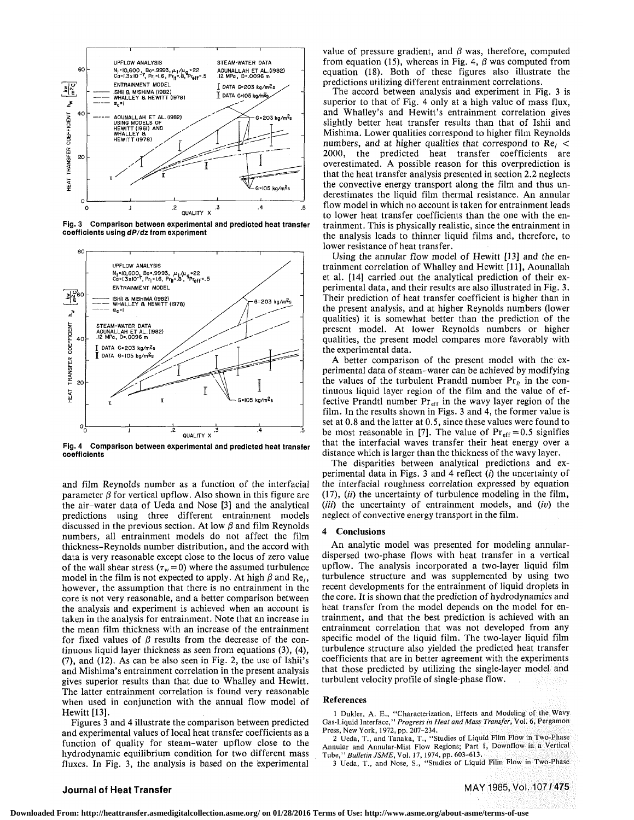

**Fig. 3 Comparison between experimental and predicted heat transfer coefficients using dP/dz from experiment** 



**Fig. 4 Comparison between experimental and predicted heat transfer coefficients** 

and film Reynolds number as a function of the interfacial parameter  $\beta$  for vertical upflow. Also shown in this figure are the air-water data of Ueda and Nose [3] and the analytical predictions using three different entrainment models discussed in the previous section. At low  $\beta$  and film Reynolds numbers, all entrainment models do not affect the film thickness-Reynolds number distribution, and the accord with data is very reasonable except close to the locus of zero value of the wall shear stress ( $\tau_w$  = 0) where the assumed turbulence model in the film is not expected to apply. At high  $\beta$  and Re<sub>l</sub>, however, the assumption that there is no entrainment in the core is not very reasonable, and a better comparison between the analysis and experiment is achieved when an account is taken in the analysis for entrainment. Note that an increase in the mean film thickness with an increase of the entrainment for fixed values of  $\beta$  results from the decrease of the continuous liquid layer thickness as seen from equations (3), (4), (7), and (12). As can be also seen in Fig. 2, the use of Ishii's and Mishima's entrainment correlation in the present analysis gives superior results than that due to Whalley and Hewitt. The latter entrainment correlation is found very reasonable when used in conjunction with the annual flow model of Hewitt [13].

Figures 3 and 4 illustrate the comparison between predicted and experimental values of local heat transfer coefficients as a function of quality for steam-water upflow close to the hydrodynamic equilibrium condition for two different mass fluxes. In Fig. 3, the analysis is based on the experimental value of pressure gradient, and  $\beta$  was, therefore, computed from equation (15), whereas in Fig. 4,  $\beta$  was computed from equation (18). Both of these figures also illustrate the predictions utilizing different entrainment correlations.

The accord between analysis and experiment in Fig. 3 is superior to that of Fig. 4 only at a high value of mass flux, and Whalley's and Hewitt's entrainment correlation gives slightly better heat transfer results than that of Ishii and Mishima. Lower qualities correspond to higher film Reynolds numbers, and at higher qualities that correspond to  $Re<sub>1</sub>$ 2000, the predicted heat transfer coefficients are overestimated. A possible reason for this overprediction is that the heat transfer analysis presented in section 2.2 neglects the convective energy transport along the film and thus underestimates the liquid film thermal resistance. An annular flow model in which no account is taken for entrainment leads to lower heat transfer coefficients than the one with the entrainment. This is physically realistic, since the entrainment in the analysis leads to thinner liquid films and, therefore, to lower resistance of heat transfer.

Using the annular flow model of Hewitt [13] and the entrainment correlation of Whalley and Hewitt [11], Aounallah et al. [14] carried out the analytical prediction of their experimental data, and their results are also illustrated in Fig. 3. Their prediction of heat transfer coefficient is higher than in the present analysis, and at higher Reynolds numbers (lower qualities) it is somewhat better than the prediction of the present model. At lower Reynolds numbers or higher qualities, the present model compares more favorably with the experimental data.

A better comparison of the present model with the experimental data of steam-water can be achieved by modifying the values of the turbulent Prandtl number  $Pr_{lt}$  in the continuous liquid layer region of the film and the value of effective Prandtl number  $Pr_{eff}$  in the wavy layer region of the film. In the results shown in Figs. 3 and 4, the former value is set at 0.8 and the latter at 0.5, since these values were found to be most reasonable in [7]. The value of  $Pr_{eff} = 0.5$  signifies that the interfacial waves transfer their heat energy over a distance which is larger than the thickness of the wavy layer.

The disparities between analytical predictions and experimental data in Figs. 3 and 4 reflect *(i)* the uncertainty of the interfacial roughness correlation expressed by equation  $(17)$ ,  $(ii)$  the uncertainty of turbulence modeling in the film, *(iii)* the uncertainty of entrainment models, and *(iv)* the neglect of convective energy transport in the film.

## **4 Conclusions**

An analytic model was presented for modeling annulardispersed two-phase flows with heat transfer in a vertical upflow. The analysis incorporated a two-layer liquid film turbulence structure and was supplemented by using two recent developments for the entrainment of liquid droplets in the core. It is shown that the prediction of hydrodynamics and heat transfer from the model depends on the model for entrainment, and that the best prediction is achieved with an entrainment correlation that was not developed from any specific model of the liquid film. The two-layer liquid film turbulence structure also yielded the predicted heat transfer coefficients that are in better agreement with the experiments that those predicted by utilizing the single-layer model and turbulent velocity profile of single-phase flow.

## **References**

1 Dukler, A. E., "Characterization, Effects and Modeling of the Wavy Gas-Liquid Interface," *Progress in Heat and Mass Transfer,* Vol. 6, Pergamon Press, New York, 1972, pp. 207-234.

2 Ueda, T., and Tanaka, T., "Studies of Liquid Film Flow in Two-Phase Annular and Annular-Mist Flow Regions; Part 1, Downflow in a Vertical

Tube," *Bulletin JSME,* Vol. 17, 1974, pp. 603-613. 3 Ueda, T., and Nose, S., "Studies of Liquid Film Flow in Two-Phase